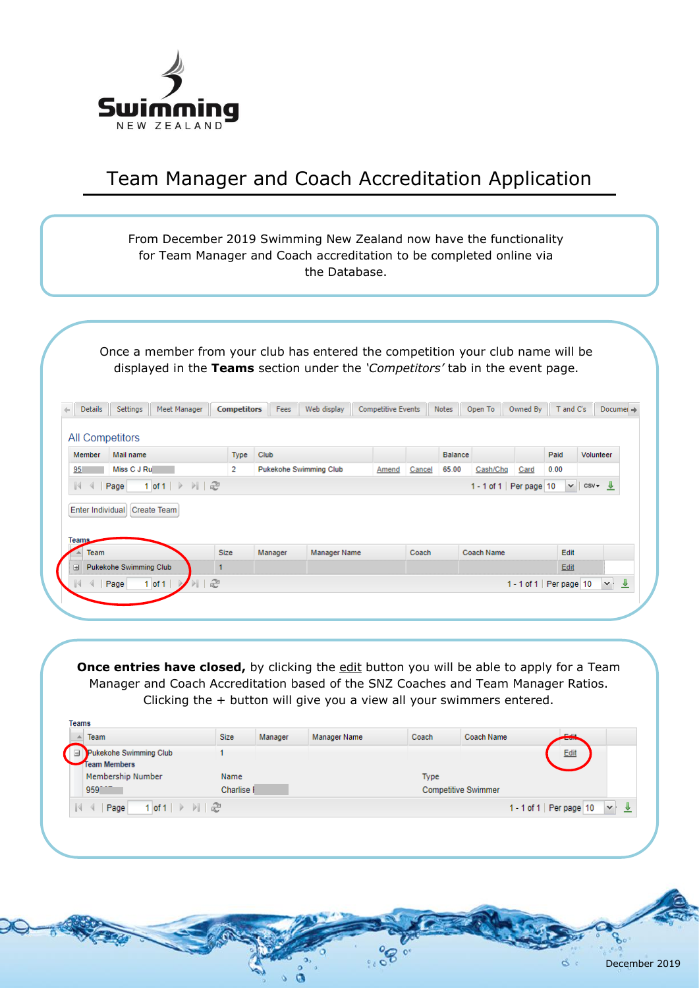

## Team Manager and Coach Accreditation Application

|                                                                                       |                             |         | for Team Manager and Coach accreditation to be completed online via<br>the Database. |                           |        |                |                            |          |                            |                    |                   |
|---------------------------------------------------------------------------------------|-----------------------------|---------|--------------------------------------------------------------------------------------|---------------------------|--------|----------------|----------------------------|----------|----------------------------|--------------------|-------------------|
|                                                                                       |                             |         |                                                                                      |                           |        |                |                            |          |                            |                    |                   |
| Once a member from your club has entered the competition your club name will be       |                             |         |                                                                                      |                           |        |                |                            |          |                            |                    |                   |
| displayed in the Teams section under the 'Competitors' tab in the event page.         |                             |         |                                                                                      |                           |        |                |                            |          |                            |                    |                   |
| <b>Details</b><br>Settings<br>Meet Manager                                            | <b>Competitors</b>          | Fees    | Web display                                                                          | <b>Competitive Events</b> |        | Notes          | Open To                    | Owned By | T and C's                  |                    | Documei -         |
|                                                                                       |                             |         |                                                                                      |                           |        |                |                            |          |                            |                    |                   |
| <b>All Competitors</b>                                                                |                             |         |                                                                                      |                           |        |                |                            |          |                            |                    |                   |
| Mail name<br><b>Member</b>                                                            | <b>Type</b>                 | Club    |                                                                                      |                           |        | <b>Balance</b> |                            |          | Paid                       |                    | Volunteer         |
|                                                                                       | $\overline{2}$              |         | <b>Pukekohe Swimming Club</b>                                                        | Amend                     | Cancel | 65.00          | Cash/Chg                   | Card     | 0.00                       |                    |                   |
| Miss C J Ru<br>95                                                                     |                             |         |                                                                                      |                           |        |                | 1 - 1 of 1   Per page   10 |          |                            | $\vee$ $\cos \vee$ |                   |
| 1 of 1 $\triangleright$ $\triangleright$ $\parallel$ $\mathbb{C}$<br>$\parallel$ Page |                             |         |                                                                                      |                           |        |                |                            |          |                            |                    |                   |
| Enter Individual Create Team                                                          |                             |         |                                                                                      |                           |        |                |                            |          |                            |                    |                   |
|                                                                                       |                             |         |                                                                                      |                           |        |                |                            |          |                            |                    |                   |
|                                                                                       |                             |         |                                                                                      |                           |        |                |                            |          |                            |                    |                   |
| <b>Team</b><br><b>El Pukekohe Swimming Club</b>                                       | <b>Size</b><br>$\mathbf{1}$ | Manager | Manager Name                                                                         |                           | Coach  |                | <b>Coach Name</b>          |          | Edit<br>Edit               |                    |                   |
| <b>Teams</b><br>Page<br>$1$ of $1$                                                    | €                           |         |                                                                                      |                           |        |                |                            |          | 1 - 1 of 1   Per page   10 |                    | ᅸ<br>$\mathbf{v}$ |

**Once entries have closed,** by clicking the *edit* button you will be able to apply for a Team Manager and Coach Accreditation based of the SNZ Coaches and Team Manager Ratios. Clicking the + button will give you a view all your swimmers entered.

| ⊌ | Pukekohe Swimming Club<br><b>Team Members</b><br>Membership Number                          | Name       |  | Type |                            | Edit                                       |
|---|---------------------------------------------------------------------------------------------|------------|--|------|----------------------------|--------------------------------------------|
|   | 959                                                                                         | Charlise I |  |      | <b>Competitive Swimmer</b> |                                            |
|   | $1$ of $1 \rightarrow \mathbb{N} \parallel \mathbb{C}$<br>Page<br>$\mathbb{N}$ $\mathbb{N}$ |            |  |      |                            | $\mathbf{v}$<br>1 - 1 of 1   Per page   10 |

c.